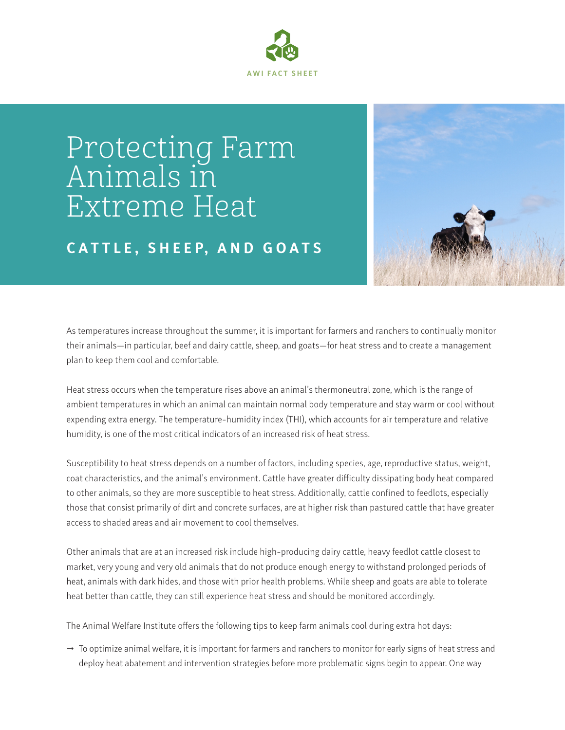

## Protecting Farm Animals in Extreme Heat

## **C A T T L E , S H E E P, A N D G O A T S**



As temperatures increase throughout the summer, it is important for farmers and ranchers to continually monitor their animals—in particular, beef and dairy cattle, sheep, and goats—for heat stress and to create a management plan to keep them cool and comfortable.

Heat stress occurs when the temperature rises above an animal's thermoneutral zone, which is the range of ambient temperatures in which an animal can maintain normal body temperature and stay warm or cool without expending extra energy. The temperature-humidity index (THI), which accounts for air temperature and relative humidity, is one of the most critical indicators of an increased risk of heat stress.

Susceptibility to heat stress depends on a number of factors, including species, age, reproductive status, weight, coat characteristics, and the animal's environment. Cattle have greater difficulty dissipating body heat compared to other animals, so they are more susceptible to heat stress. Additionally, cattle confined to feedlots, especially those that consist primarily of dirt and concrete surfaces, are at higher risk than pastured cattle that have greater access to shaded areas and air movement to cool themselves.

Other animals that are at an increased risk include high-producing dairy cattle, heavy feedlot cattle closest to market, very young and very old animals that do not produce enough energy to withstand prolonged periods of heat, animals with dark hides, and those with prior health problems. While sheep and goats are able to tolerate heat better than cattle, they can still experience heat stress and should be monitored accordingly.

The Animal Welfare Institute offers the following tips to keep farm animals cool during extra hot days:

 $\rightarrow$  To optimize animal welfare, it is important for farmers and ranchers to monitor for early signs of heat stress and deploy heat abatement and intervention strategies before more problematic signs begin to appear. One way